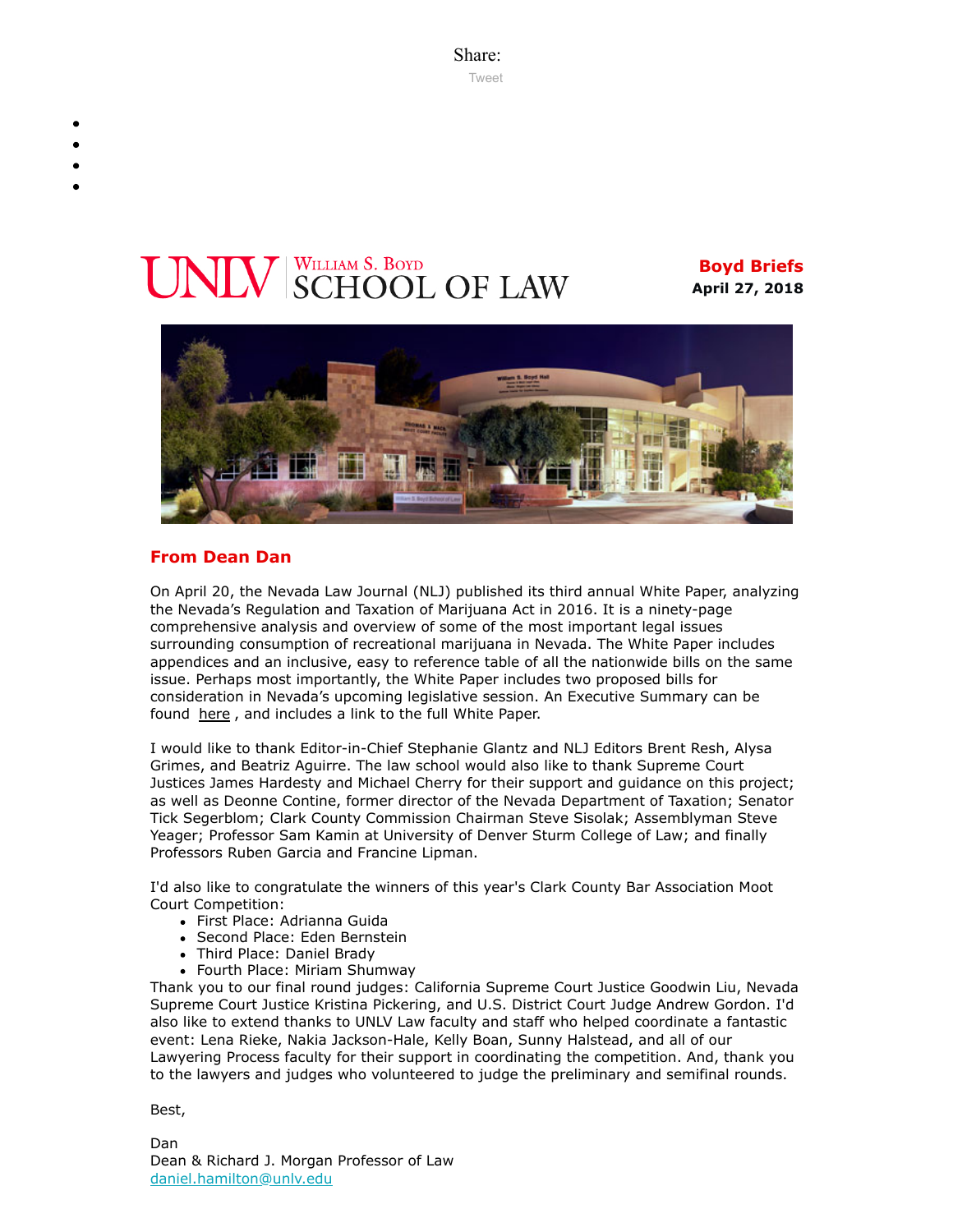Share: [Tweet](https://twitter.com/intent/tweet?ref_src=twsrc%5Etfw&text=Boyd%20Briefs&tw_p=tweetbutton&url=file%3A%2F%2F%2FC%3A%2FUsers%2FElizabeth%2520Manriquez%2FAppData%2FLocal%2FTemp%2FTemp1_boyd-briefs.zip%2Fboyd-briefs%2Femail-BoydBriefs-2018-04-27.html)

# **ILV** SCHOOL OF LAW

**Boyd Briefs April 27, 2018**



## **From Dean Dan**

On April 20, the Nevada Law Journal (NLJ) published its third annual White Paper, analyzing the Nevada's Regulation and Taxation of Marijuana Act in 2016. It is a ninety-page comprehensive analysis and overview of some of the most important legal issues surrounding consumption of recreational marijuana in Nevada. The White Paper includes appendices and an inclusive, easy to reference table of all the nationwide bills on the same issue. Perhaps most importantly, the White Paper includes two proposed bills for consideration in Nevada's upcoming legislative session. An Executive Summary can be found [here](https://www.nevadalawjournalforum.com/home/2/7) , and includes a link to the full White Paper.

I would like to thank Editor-in-Chief Stephanie Glantz and NLJ Editors Brent Resh, Alysa Grimes, and Beatriz Aguirre. The law school would also like to thank Supreme Court Justices James Hardesty and Michael Cherry for their support and guidance on this project; as well as Deonne Contine, former director of the Nevada Department of Taxation; Senator Tick Segerblom; Clark County Commission Chairman Steve Sisolak; Assemblyman Steve Yeager; Professor Sam Kamin at University of Denver Sturm College of Law; and finally Professors Ruben Garcia and Francine Lipman.

I'd also like to congratulate the winners of this year's Clark County Bar Association Moot Court Competition:

- First Place: Adrianna Guida
- Second Place: Eden Bernstein
- Third Place: Daniel Brady
- Fourth Place: Miriam Shumway

Thank you to our final round judges: California Supreme Court Justice Goodwin Liu, Nevada Supreme Court Justice Kristina Pickering, and U.S. District Court Judge Andrew Gordon. I'd also like to extend thanks to UNLV Law faculty and staff who helped coordinate a fantastic event: Lena Rieke, Nakia Jackson-Hale, Kelly Boan, Sunny Halstead, and all of our Lawyering Process faculty for their support in coordinating the competition. And, thank you to the lawyers and judges who volunteered to judge the preliminary and semifinal rounds.

Best,

Dan Dean & Richard J. Morgan Professor of Law [daniel.hamilton@unlv.edu](mailto:daniel.hamilton@unlv.edu)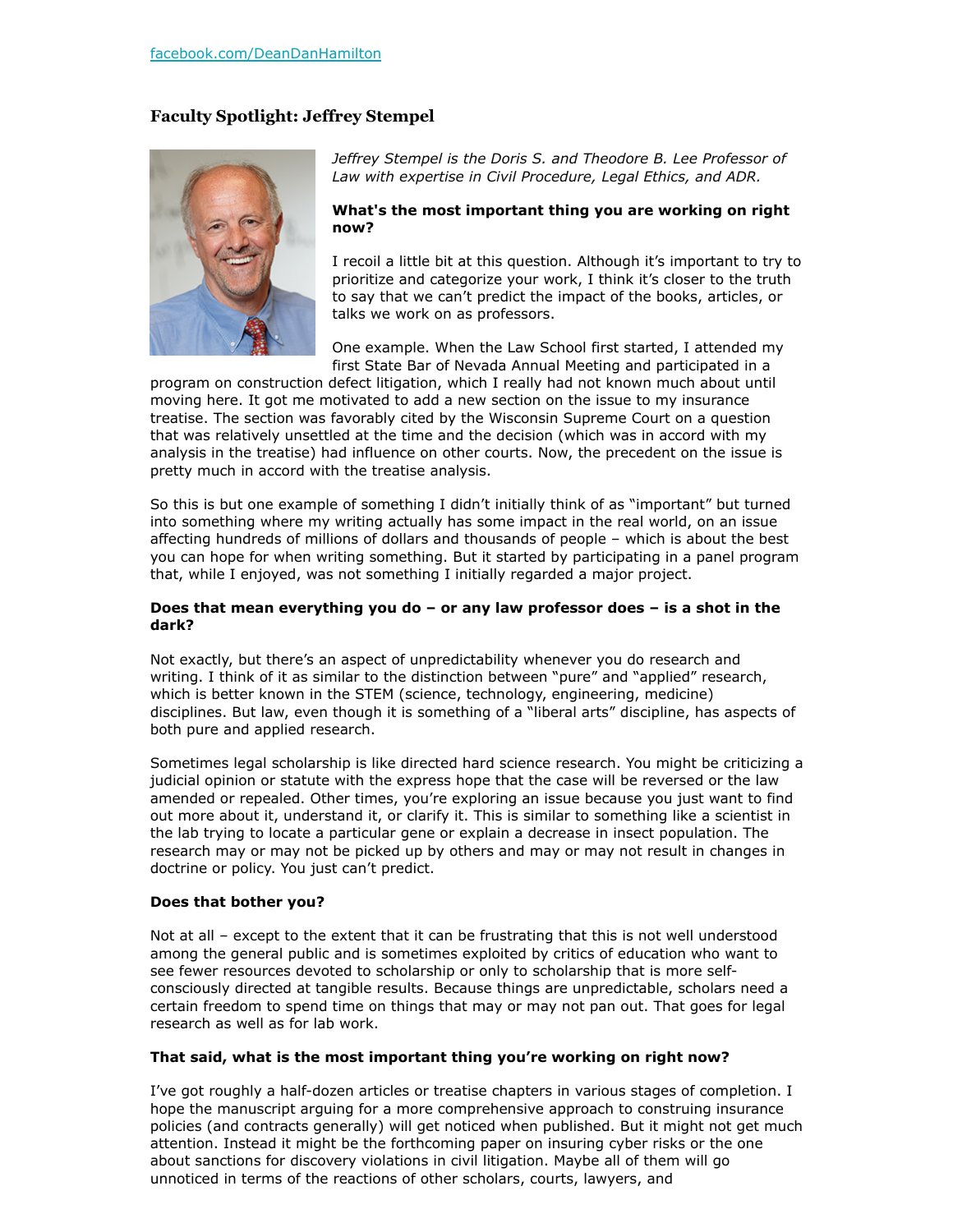# **Faculty Spotlight: Jeffrey Stempel**



*Jeffrey Stempel is the Doris S. and Theodore B. Lee Professor of Law with expertise in Civil Procedure, Legal Ethics, and ADR.*

#### **What's the most important thing you are working on right now?**

I recoil a little bit at this question. Although it's important to try to prioritize and categorize your work, I think it's closer to the truth to say that we can't predict the impact of the books, articles, or talks we work on as professors.

One example. When the Law School first started, I attended my first State Bar of Nevada Annual Meeting and participated in a

program on construction defect litigation, which I really had not known much about until moving here. It got me motivated to add a new section on the issue to my insurance treatise. The section was favorably cited by the Wisconsin Supreme Court on a question that was relatively unsettled at the time and the decision (which was in accord with my analysis in the treatise) had influence on other courts. Now, the precedent on the issue is pretty much in accord with the treatise analysis.

So this is but one example of something I didn't initially think of as "important" but turned into something where my writing actually has some impact in the real world, on an issue affecting hundreds of millions of dollars and thousands of people – which is about the best you can hope for when writing something. But it started by participating in a panel program that, while I enjoyed, was not something I initially regarded a major project.

#### **Does that mean everything you do – or any law professor does – is a shot in the dark?**

Not exactly, but there's an aspect of unpredictability whenever you do research and writing. I think of it as similar to the distinction between "pure" and "applied" research, which is better known in the STEM (science, technology, engineering, medicine) disciplines. But law, even though it is something of a "liberal arts" discipline, has aspects of both pure and applied research.

Sometimes legal scholarship is like directed hard science research. You might be criticizing a judicial opinion or statute with the express hope that the case will be reversed or the law amended or repealed. Other times, you're exploring an issue because you just want to find out more about it, understand it, or clarify it. This is similar to something like a scientist in the lab trying to locate a particular gene or explain a decrease in insect population. The research may or may not be picked up by others and may or may not result in changes in doctrine or policy. You just can't predict.

#### **Does that bother you?**

Not at all – except to the extent that it can be frustrating that this is not well understood among the general public and is sometimes exploited by critics of education who want to see fewer resources devoted to scholarship or only to scholarship that is more selfconsciously directed at tangible results. Because things are unpredictable, scholars need a certain freedom to spend time on things that may or may not pan out. That goes for legal research as well as for lab work.

#### **That said, what is the most important thing you're working on right now?**

I've got roughly a half-dozen articles or treatise chapters in various stages of completion. I hope the manuscript arguing for a more comprehensive approach to construing insurance policies (and contracts generally) will get noticed when published. But it might not get much attention. Instead it might be the forthcoming paper on insuring cyber risks or the one about sanctions for discovery violations in civil litigation. Maybe all of them will go unnoticed in terms of the reactions of other scholars, courts, lawyers, and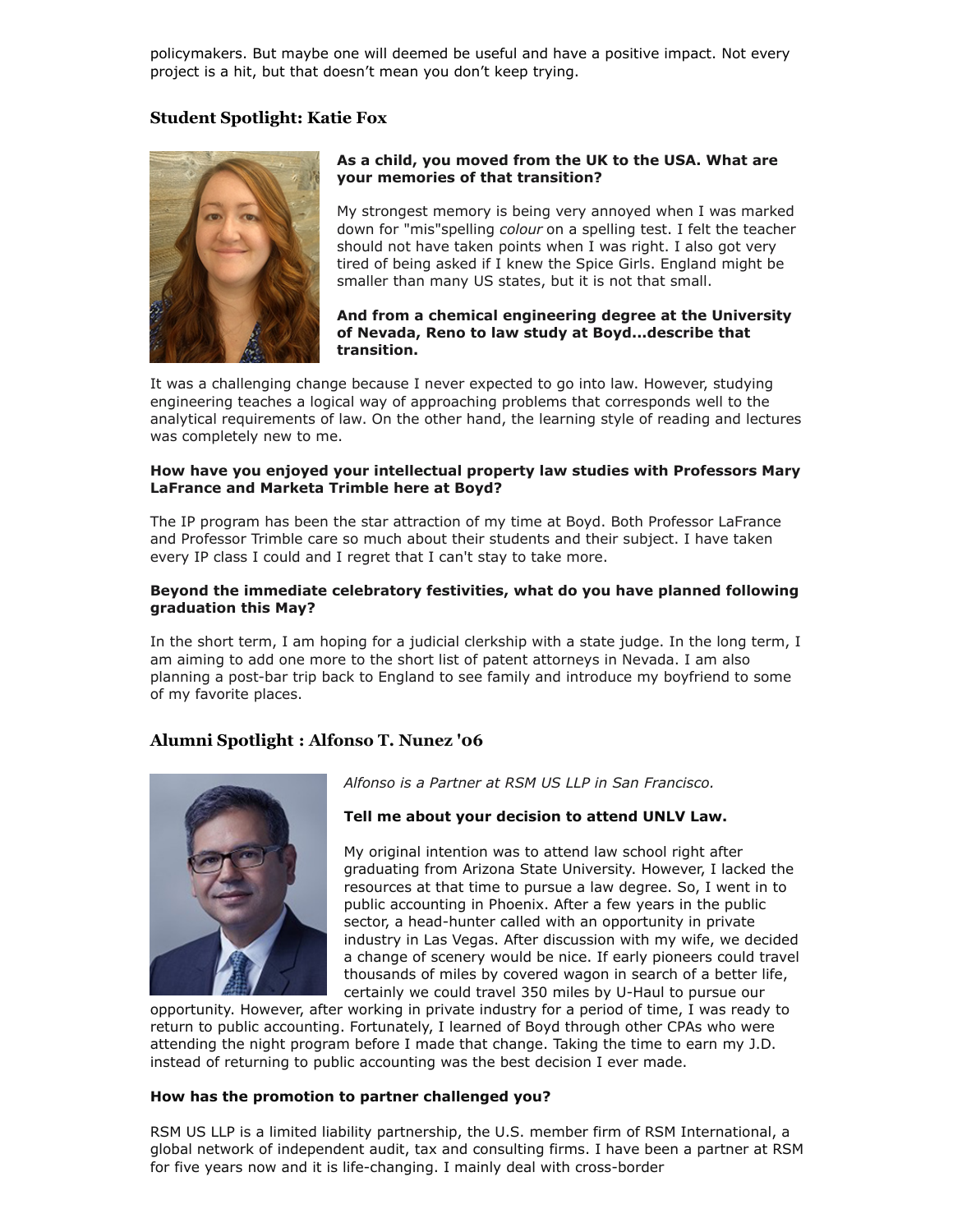policymakers. But maybe one will deemed be useful and have a positive impact. Not every project is a hit, but that doesn't mean you don't keep trying.

### **Student Spotlight: Katie Fox**



#### **As a child, you moved from the UK to the USA. What are your memories of that transition?**

My strongest memory is being very annoyed when I was marked down for "mis"spelling *colour* on a spelling test. I felt the teacher should not have taken points when I was right. I also got very tired of being asked if I knew the Spice Girls. England might be smaller than many US states, but it is not that small.

#### **And from a chemical engineering degree at the University of Nevada, Reno to law study at Boyd...describe that transition.**

It was a challenging change because I never expected to go into law. However, studying engineering teaches a logical way of approaching problems that corresponds well to the analytical requirements of law. On the other hand, the learning style of reading and lectures was completely new to me.

#### **How have you enjoyed your intellectual property law studies with Professors Mary LaFrance and Marketa Trimble here at Boyd?**

The IP program has been the star attraction of my time at Boyd. Both Professor LaFrance and Professor Trimble care so much about their students and their subject. I have taken every IP class I could and I regret that I can't stay to take more.

#### **Beyond the immediate celebratory festivities, what do you have planned following graduation this May?**

In the short term, I am hoping for a judicial clerkship with a state judge. In the long term, I am aiming to add one more to the short list of patent attorneys in Nevada. I am also planning a post-bar trip back to England to see family and introduce my boyfriend to some of my favorite places.

# **Alumni Spotlight : Alfonso T. Nunez '06**



*Alfonso is a Partner at RSM US LLP in San Francisco.*

#### **Tell me about your decision to attend UNLV Law.**

My original intention was to attend law school right after graduating from Arizona State University. However, I lacked the resources at that time to pursue a law degree. So, I went in to public accounting in Phoenix. After a few years in the public sector, a head-hunter called with an opportunity in private industry in Las Vegas. After discussion with my wife, we decided a change of scenery would be nice. If early pioneers could travel thousands of miles by covered wagon in search of a better life, certainly we could travel 350 miles by U-Haul to pursue our

opportunity. However, after working in private industry for a period of time, I was ready to return to public accounting. Fortunately, I learned of Boyd through other CPAs who were attending the night program before I made that change. Taking the time to earn my J.D. instead of returning to public accounting was the best decision I ever made.

#### **How has the promotion to partner challenged you?**

RSM US LLP is a limited liability partnership, the U.S. member firm of RSM International, a global network of independent audit, tax and consulting firms. I have been a partner at RSM for five years now and it is life-changing. I mainly deal with cross-border